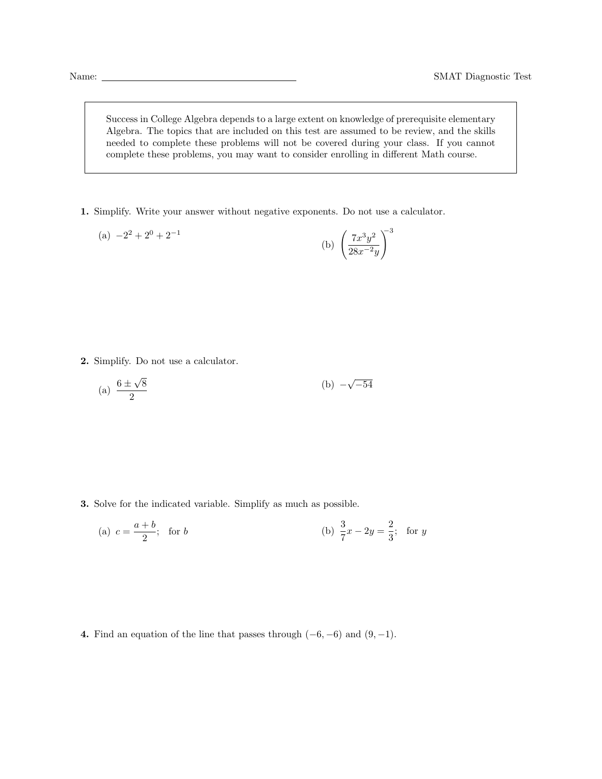Success in College Algebra depends to a large extent on knowledge of prerequisite elementary Algebra. The topics that are included on this test are assumed to be review, and the skills needed to complete these problems will not be covered during your class. If you cannot complete these problems, you may want to consider enrolling in different Math course.

1. Simplify. Write your answer without negative exponents. Do not use a calculator.

(a) 
$$
-2^2 + 2^0 + 2^{-1}
$$
   
 (b)  $\left(\frac{7x^3y^2}{28x^{-2}y}\right)^3$ 

2. Simplify. Do not use a calculator.

(a) 
$$
\frac{6 \pm \sqrt{8}}{2}
$$
 (b)  $-\sqrt{-54}$ 

3. Solve for the indicated variable. Simplify as much as possible.

(a) 
$$
c = \frac{a+b}{2}
$$
; for *b*   
 (b)  $\frac{3}{7}x - 2y = \frac{2}{3}$ ; for *y*

4. Find an equation of the line that passes through  $(-6, -6)$  and  $(9, -1)$ .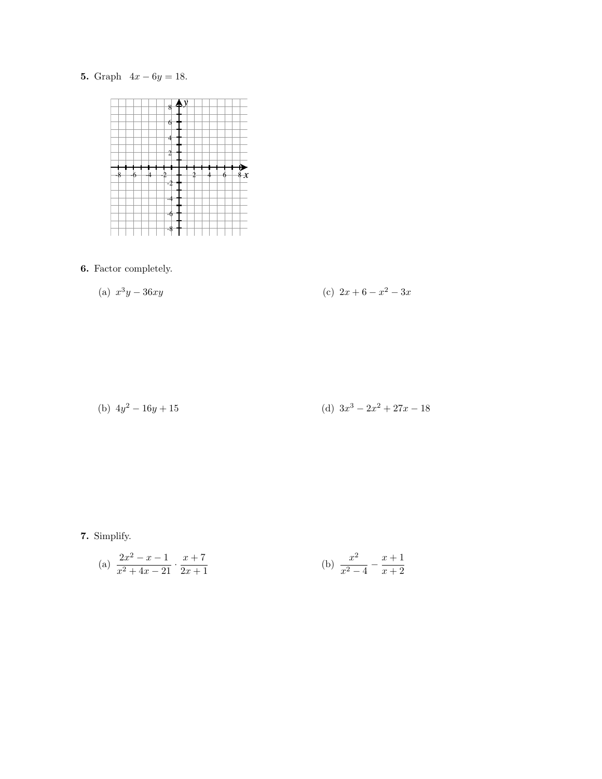## 5. Graph  $4x - 6y = 18$ .



## 6. Factor completely.

(a) 
$$
x^3y - 36xy
$$
 (c)  $2x + 6 - x^2 - 3x$ 

(b) 
$$
4y^2 - 16y + 15
$$
 (d)  $3x^3 - 2x^2 + 27x - 18$ 

7. Simplify.

(a) 
$$
\frac{2x^2 - x - 1}{x^2 + 4x - 21} \cdot \frac{x + 7}{2x + 1}
$$
 (b) 
$$
\frac{x^2}{x^2 - 4} - \frac{x + 1}{x + 2}
$$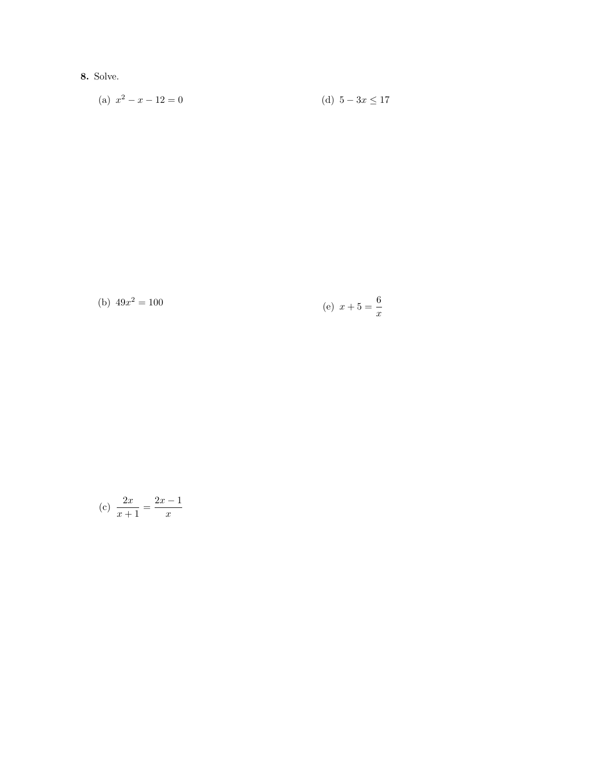8. Solve.

(a) 
$$
x^2 - x - 12 = 0
$$
   
 (d)  $5 - 3x \le 17$ 

(b) 
$$
49x^2 = 100
$$
 (e)  $x + 5 = \frac{6}{x}$ 

(c) 
$$
\frac{2x}{x+1} = \frac{2x-1}{x}
$$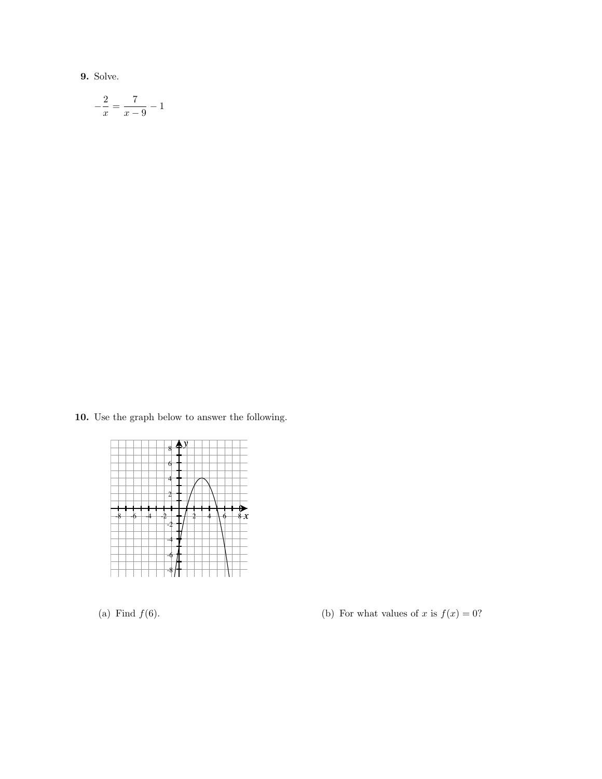9. Solve.

$$
-\frac{2}{x} = \frac{7}{x-9} - 1
$$

10. Use the graph below to answer the following.



(a) Find  $f(6)$ . (b) For what values of x is  $f(x) = 0$ ?